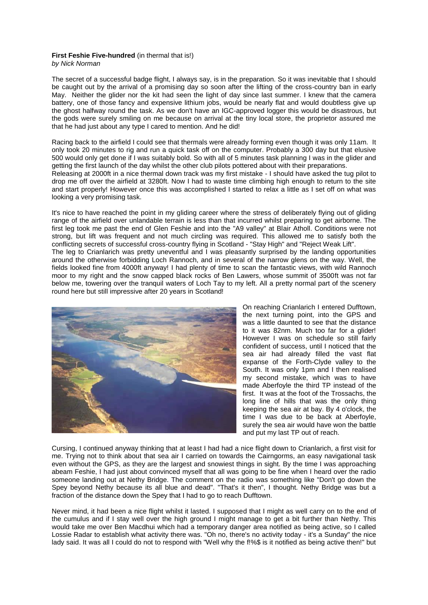## **First Feshie Five-hundred** (in thermal that is!)

*by Nick Norman*

The secret of a successful badge flight, I always say, is in the preparation. So it was inevitable that I should be caught out by the arrival of a promising day so soon after the lifting of the cross-country ban in early May. Neither the glider nor the kit had seen the light of day since last summer. I knew that the camera battery, one of those fancy and expensive lithium jobs, would be nearly flat and would doubtless give up the ghost halfway round the task. As we don't have an IGC-approved logger this would be disastrous, but the gods were surely smiling on me because on arrival at the tiny local store, the proprietor assured me that he had just about any type I cared to mention. And he did!

Racing back to the airfield I could see that thermals were already forming even though it was only 11am. It only took 20 minutes to rig and run a quick task off on the computer. Probably a 300 day but that elusive 500 would only get done if I was suitably bold. So with all of 5 minutes task planning I was in the glider and getting the first launch of the day whilst the other club pilots pottered about with their preparations.

Releasing at 2000ft in a nice thermal down track was my first mistake - I should have asked the tug pilot to drop me off over the airfield at 3280ft. Now I had to waste time climbing high enough to return to the site and start properly! However once this was accomplished I started to relax a little as I set off on what was looking a very promising task.

It's nice to have reached the point in my gliding career where the stress of deliberately flying out of gliding range of the airfield over unlandable terrain is less than that incurred whilst preparing to get airborne. The first leg took me past the end of Glen Feshie and into the "A9 valley" at Blair Atholl. Conditions were not strong, but lift was frequent and not much circling was required. This allowed me to satisfy both the conflicting secrets of successful cross-country flying in Scotland - "Stay High" and "Reject Weak Lift". The leg to Crianlarich was pretty uneventful and I was pleasantly surprised by the landing opportunities around the otherwise forbidding Loch Rannoch, and in several of the narrow glens on the way. Well, the fields looked fine from 4000ft anyway! I had plenty of time to scan the fantastic views, with wild Rannoch moor to my right and the snow capped black rocks of Ben Lawers, whose summit of 3500ft was not far below me, towering over the tranquil waters of Loch Tay to my left. All a pretty normal part of the scenery round here but still impressive after 20 years in Scotland!



On reaching Crianlarich I entered Dufftown, the next turning point, into the GPS and was a little daunted to see that the distance to it was 82nm. Much too far for a glider! However I was on schedule so still fairly confident of success, until I noticed that the sea air had already filled the vast flat expanse of the Forth-Clyde valley to the South. It was only 1pm and I then realised my second mistake, which was to have made Aberfoyle the third TP instead of the first. It was at the foot of the Trossachs, the long line of hills that was the only thing keeping the sea air at bay. By 4 o'clock, the time I was due to be back at Aberfoyle, surely the sea air would have won the battle and put my last TP out of reach.

Cursing, I continued anyway thinking that at least I had had a nice flight down to Crianlarich, a first visit for me. Trying not to think about that sea air I carried on towards the Cairngorms, an easy navigational task even without the GPS, as they are the largest and snowiest things in sight. By the time I was approaching abeam Feshie, I had just about convinced myself that all was going to be fine when I heard over the radio someone landing out at Nethy Bridge. The comment on the radio was something like "Don't go down the Spey beyond Nethy because its all blue and dead". "That's it then", I thought. Nethy Bridge was but a fraction of the distance down the Spey that I had to go to reach Dufftown.

Never mind, it had been a nice flight whilst it lasted. I supposed that I might as well carry on to the end of the cumulus and if I stay well over the high ground I might manage to get a bit further than Nethy. This would take me over Ben Macdhui which had a temporary danger area notified as being active, so I called Lossie Radar to establish what activity there was. "Oh no, there's no activity today - it's a Sunday" the nice lady said. It was all I could do not to respond with "Well why the f!%\$ is it notified as being active then!" but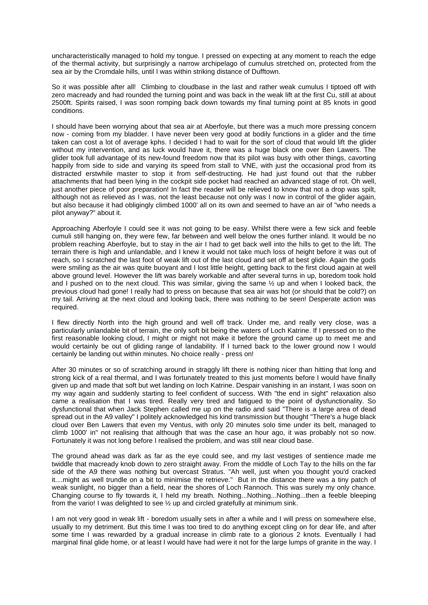uncharacteristically managed to hold my tongue. I pressed on expecting at any moment to reach the edge of the thermal activity, but surprisingly a narrow archipelago of cumulus stretched on, protected from the sea air by the Cromdale hills, until I was within striking distance of Dufftown.

So it was possible after all! Climbing to cloudbase in the last and rather weak cumulus I tiptoed off with zero macready and had rounded the turning point and was back in the weak lift at the first Cu, still at about 2500ft. Spirits raised, I was soon romping back down towards my final turning point at 85 knots in good conditions.

I should have been worrying about that sea air at Aberfoyle, but there was a much more pressing concern now - coming from my bladder. I have never been very good at bodily functions in a glider and the time taken can cost a lot of average kphs. I decided I had to wait for the sort of cloud that would lift the glider without my intervention, and as luck would have it, there was a huge black one over Ben Lawers. The glider took full advantage of its new-found freedom now that its pilot was busy with other things, cavorting happily from side to side and varying its speed from stall to VNE, with just the occasional prod from its distracted erstwhile master to stop it from self-destructing. He had just found out that the rubber attachments that had been lying in the cockpit side pocket had reached an advanced stage of rot. Oh well, just another piece of poor preparation! In fact the reader will be relieved to know that not a drop was spilt, although not as relieved as I was, not the least because not only was I now in control of the glider again, but also because it had obligingly climbed 1000' all on its own and seemed to have an air of "who needs a pilot anyway?" about it.

Approaching Aberfoyle I could see it was not going to be easy. Whilst there were a few sick and feeble cumuli still hanging on, they were few, far between and well below the ones further inland. It would be no problem reaching Aberfoyle, but to stay in the air I had to get back well into the hills to get to the lift. The terrain there is high and unlandable, and I knew it would not take much loss of height before it was out of reach, so I scratched the last foot of weak lift out of the last cloud and set off at best glide. Again the gods were smiling as the air was quite buoyant and I lost little height, getting back to the first cloud again at well above ground level. However the lift was barely workable and after several turns in up, boredom took hold and I pushed on to the next cloud. This was similar, giving the same ½ up and when I looked back, the previous cloud had gone! I really had to press on because that sea air was hot (or should that be cold?) on my tail. Arriving at the next cloud and looking back, there was nothing to be seen! Desperate action was required.

I flew directly North into the high ground and well off track. Under me, and really very close, was a particularly unlandable bit of terrain, the only soft bit being the waters of Loch Katrine. If I pressed on to the first reasonable looking cloud, I might or might not make it before the ground came up to meet me and would certainly be out of gliding range of landability. If I turned back to the lower ground now I would certainly be landing out within minutes. No choice really - press on!

After 30 minutes or so of scratching around in straggly lift there is nothing nicer than hitting that long and strong kick of a real thermal, and I was fortunately treated to this just moments before I would have finally given up and made that soft but wet landing on loch Katrine. Despair vanishing in an instant, I was soon on my way again and suddenly starting to feel confident of success. With "the end in sight" relaxation also came a realisation that I was tired. Really very tired and fatigued to the point of dysfunctionality. So dysfunctional that when Jack Stephen called me up on the radio and said "There is a large area of dead spread out in the A9 valley" I politely acknowledged his kind transmission but thought "There's a huge black cloud over Ben Lawers that even my Ventus, with only 20 minutes solo time under its belt, managed to climb 1000' in" not realising that although that was the case an hour ago, it was probably not so now. Fortunately it was not long before I realised the problem, and was still near cloud base.

The ground ahead was dark as far as the eye could see, and my last vestiges of sentience made me twiddle that macready knob down to zero straight away. From the middle of Loch Tay to the hills on the far side of the A9 there was nothing but overcast Stratus. "Ah well, just when you thought you'd cracked it....might as well trundle on a bit to minimise the retrieve." But in the distance there was a tiny patch of weak sunlight, no bigger than a field, near the shores of Loch Rannoch. This was surely my only chance. Changing course to fly towards it, I held my breath. Nothing...Nothing...Nothing...then a feeble bleeping from the vario! I was delighted to see ½ up and circled gratefully at minimum sink.

I am not very good in weak lift - boredom usually sets in after a while and I will press on somewhere else, usually to my detriment. But this time I was too tired to do anything except cling on for dear life, and after some time I was rewarded by a gradual increase in climb rate to a glorious 2 knots. Eventually I had marginal final glide home, or at least I would have had were it not for the large lumps of granite in the way. I